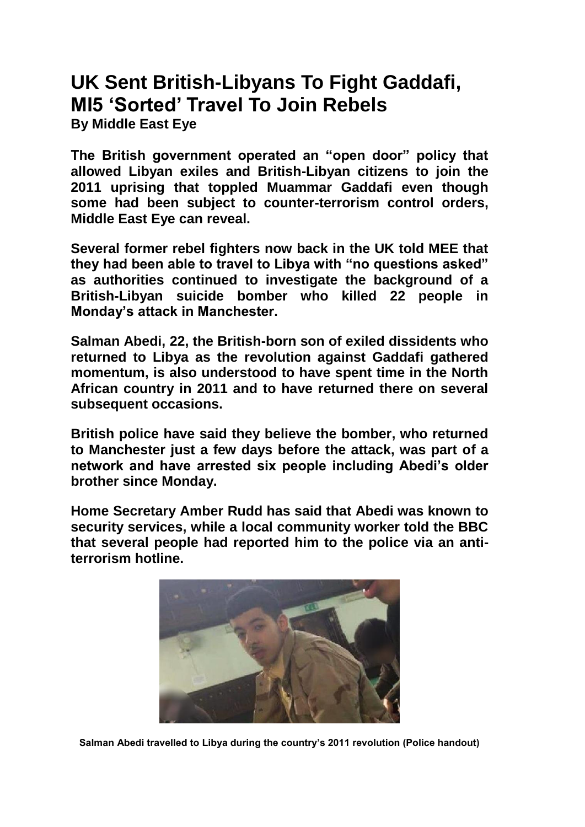## **UK Sent British-Libyans To Fight Gaddafi, MI5 "Sorted" Travel To Join Rebels**

**By Middle East Eye**

**The British government operated an "open door" policy that allowed Libyan exiles and British-Libyan citizens to join the 2011 uprising that toppled Muammar Gaddafi even though some had been subject to counter-terrorism control orders, Middle East Eye can reveal.**

**Several former rebel fighters now back in the UK told MEE that they had been able to travel to Libya with "no questions asked" as authorities continued to investigate the background of a British-Libyan suicide bomber who killed 22 people in Monday"s attack in Manchester.**

**Salman Abedi, 22, the British-born son of exiled dissidents who returned to Libya as the revolution against Gaddafi gathered momentum, is also understood to have spent time in the North African country in 2011 and to have returned there on several subsequent occasions.**

**British police have said they believe the bomber, who returned to Manchester just a few days before the attack, was part of a network and have arrested six people including Abedi"s older brother since Monday.**

**Home Secretary Amber Rudd has said that Abedi was known to security services, while a local community worker told the BBC that several people had reported him to the police via an antiterrorism hotline.**



**Salman Abedi travelled to Libya during the country"s 2011 revolution (Police handout)**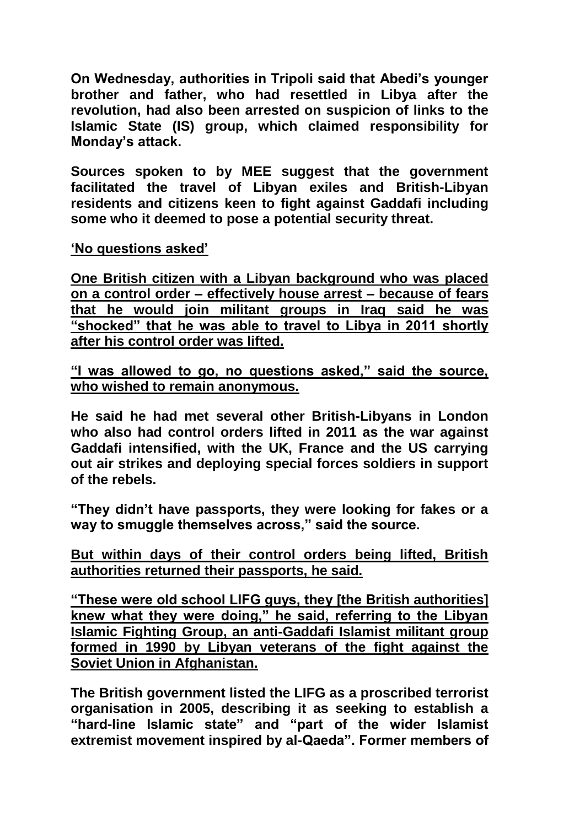**On Wednesday, authorities in Tripoli said that Abedi"s younger brother and father, who had resettled in Libya after the revolution, had also been arrested on suspicion of links to the Islamic State (IS) group, which claimed responsibility for Monday"s attack.**

**Sources spoken to by MEE suggest that the government facilitated the travel of Libyan exiles and British-Libyan residents and citizens keen to fight against Gaddafi including some who it deemed to pose a potential security threat.**

**"No questions asked"**

**One British citizen with a Libyan background who was placed on a control order – effectively house arrest – because of fears that he would join militant groups in Iraq said he was "shocked" that he was able to travel to Libya in 2011 shortly after his control order was lifted.**

**"I was allowed to go, no questions asked," said the source, who wished to remain anonymous.**

**He said he had met several other British-Libyans in London who also had control orders lifted in 2011 as the war against Gaddafi intensified, with the UK, France and the US carrying out air strikes and deploying special forces soldiers in support of the rebels.**

**"They didn"t have passports, they were looking for fakes or a way to smuggle themselves across," said the source.**

**But within days of their control orders being lifted, British authorities returned their passports, he said.**

**"These were old school LIFG guys, they [the British authorities] knew what they were doing," he said, referring to the Libyan Islamic Fighting Group, an anti-Gaddafi Islamist militant group formed in 1990 by Libyan veterans of the fight against the Soviet Union in Afghanistan.**

**The British government listed the LIFG as a proscribed terrorist organisation in 2005, describing it as seeking to establish a "hard-line Islamic state" and "part of the wider Islamist extremist movement inspired by al-Qaeda". Former members of**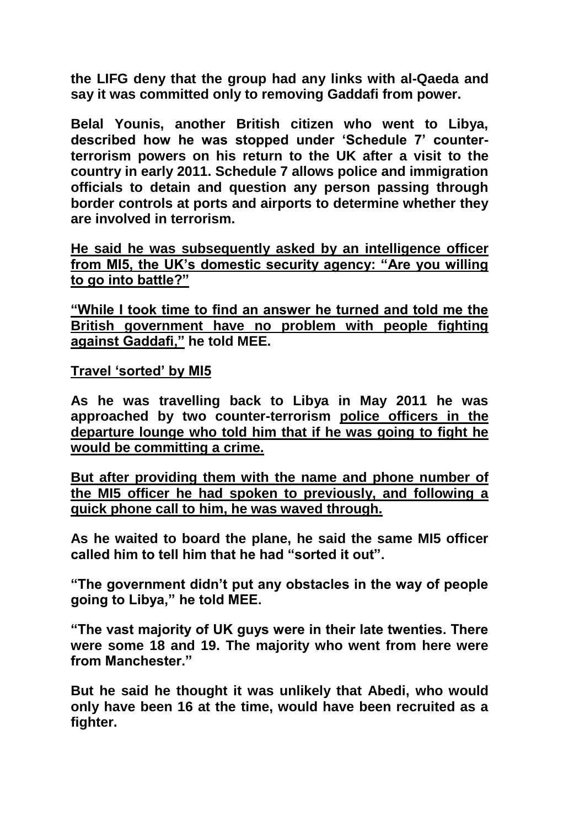**the LIFG deny that the group had any links with al-Qaeda and say it was committed only to removing Gaddafi from power.**

**Belal Younis, another British citizen who went to Libya, described how he was stopped under "Schedule 7" counterterrorism powers on his return to the UK after a visit to the country in early 2011. Schedule 7 allows police and immigration officials to detain and question any person passing through border controls at ports and airports to determine whether they are involved in terrorism.**

**He said he was subsequently asked by an intelligence officer from MI5, the UK"s domestic security agency: "Are you willing to go into battle?"**

**"While I took time to find an answer he turned and told me the British government have no problem with people fighting against Gaddafi," he told MEE.**

**Travel "sorted" by MI5**

**As he was travelling back to Libya in May 2011 he was approached by two counter-terrorism police officers in the departure lounge who told him that if he was going to fight he would be committing a crime.**

**But after providing them with the name and phone number of the MI5 officer he had spoken to previously, and following a quick phone call to him, he was waved through.**

**As he waited to board the plane, he said the same MI5 officer called him to tell him that he had "sorted it out".**

**"The government didn"t put any obstacles in the way of people going to Libya," he told MEE.**

**"The vast majority of UK guys were in their late twenties. There were some 18 and 19. The majority who went from here were from Manchester."**

**But he said he thought it was unlikely that Abedi, who would only have been 16 at the time, would have been recruited as a fighter.**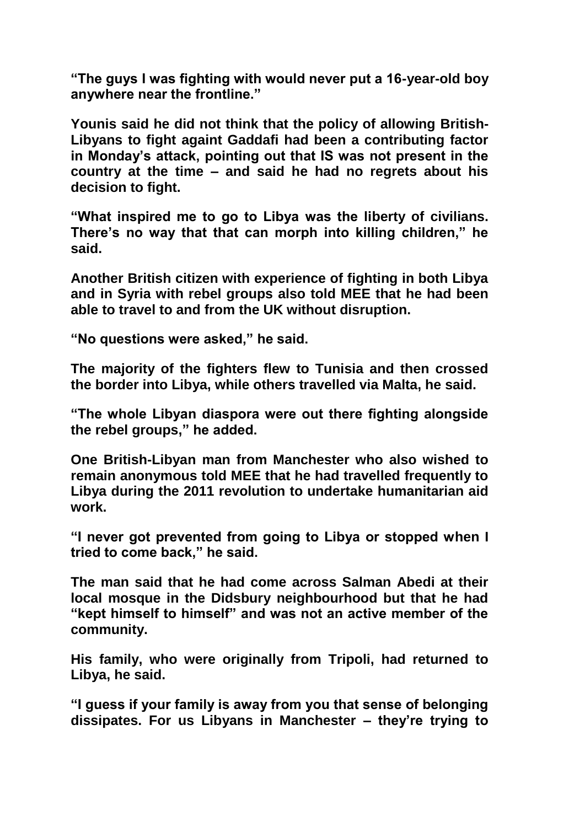**"The guys I was fighting with would never put a 16-year-old boy anywhere near the frontline."**

**Younis said he did not think that the policy of allowing British-Libyans to fight againt Gaddafi had been a contributing factor in Monday"s attack, pointing out that IS was not present in the country at the time – and said he had no regrets about his decision to fight.**

**"What inspired me to go to Libya was the liberty of civilians. There"s no way that that can morph into killing children," he said.**

**Another British citizen with experience of fighting in both Libya and in Syria with rebel groups also told MEE that he had been able to travel to and from the UK without disruption.**

**"No questions were asked," he said.**

**The majority of the fighters flew to Tunisia and then crossed the border into Libya, while others travelled via Malta, he said.**

**"The whole Libyan diaspora were out there fighting alongside the rebel groups," he added.**

**One British-Libyan man from Manchester who also wished to remain anonymous told MEE that he had travelled frequently to Libya during the 2011 revolution to undertake humanitarian aid work.**

**"I never got prevented from going to Libya or stopped when I tried to come back," he said.**

**The man said that he had come across Salman Abedi at their local mosque in the Didsbury neighbourhood but that he had "kept himself to himself" and was not an active member of the community.**

**His family, who were originally from Tripoli, had returned to Libya, he said.**

**"I guess if your family is away from you that sense of belonging dissipates. For us Libyans in Manchester – they"re trying to**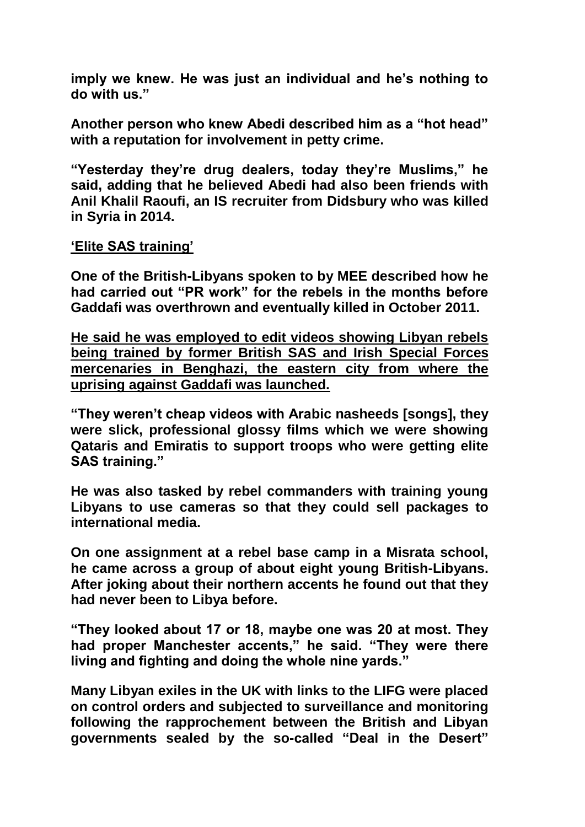**imply we knew. He was just an individual and he"s nothing to do with us."**

**Another person who knew Abedi described him as a "hot head" with a reputation for involvement in petty crime.**

**"Yesterday they"re drug dealers, today they"re Muslims," he said, adding that he believed Abedi had also been friends with Anil Khalil Raoufi, an IS recruiter from Didsbury who was killed in Syria in 2014.**

## **"Elite SAS training"**

**One of the British-Libyans spoken to by MEE described how he had carried out "PR work" for the rebels in the months before Gaddafi was overthrown and eventually killed in October 2011.**

**He said he was employed to edit videos showing Libyan rebels being trained by former British SAS and Irish Special Forces mercenaries in Benghazi, the eastern city from where the uprising against Gaddafi was launched.**

**"They weren"t cheap videos with Arabic nasheeds [songs], they were slick, professional glossy films which we were showing Qataris and Emiratis to support troops who were getting elite SAS training."**

**He was also tasked by rebel commanders with training young Libyans to use cameras so that they could sell packages to international media.**

**On one assignment at a rebel base camp in a Misrata school, he came across a group of about eight young British-Libyans. After joking about their northern accents he found out that they had never been to Libya before.**

**"They looked about 17 or 18, maybe one was 20 at most. They had proper Manchester accents," he said. "They were there living and fighting and doing the whole nine yards."**

**Many Libyan exiles in the UK with links to the LIFG were placed on control orders and subjected to surveillance and monitoring following the rapprochement between the British and Libyan governments sealed by the so-called "Deal in the Desert"**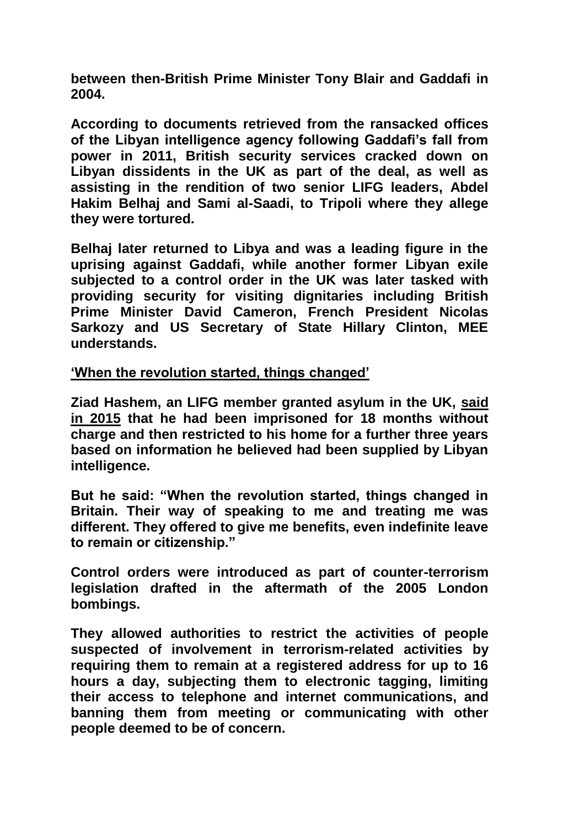**between then-British Prime Minister Tony Blair and Gaddafi in 2004.**

**According to documents retrieved from the ransacked offices of the Libyan intelligence agency following Gaddafi"s fall from power in 2011, British security services cracked down on Libyan dissidents in the UK as part of the deal, as well as assisting in the rendition of two senior LIFG leaders, Abdel Hakim Belhaj and Sami al-Saadi, to Tripoli where they allege they were tortured.**

**Belhaj later returned to Libya and was a leading figure in the uprising against Gaddafi, while another former Libyan exile subjected to a control order in the UK was later tasked with providing security for visiting dignitaries including British Prime Minister David Cameron, French President Nicolas Sarkozy and US Secretary of State Hillary Clinton, MEE understands.**

## **"When the revolution started, things changed"**

**Ziad Hashem, an LIFG member granted asylum in the UK, [said](http://www.aljazeera.com/indepth/features/2015/12/history-uk-libya-relations-151210095534126.html)  [in 2015](http://www.aljazeera.com/indepth/features/2015/12/history-uk-libya-relations-151210095534126.html) that he had been imprisoned for 18 months without charge and then restricted to his home for a further three years based on information he believed had been supplied by Libyan intelligence.**

**But he said: "When the revolution started, things changed in Britain. Their way of speaking to me and treating me was different. They offered to give me benefits, even indefinite leave to remain or citizenship."**

**Control orders were introduced as part of counter-terrorism legislation drafted in the aftermath of the 2005 London bombings.**

**They allowed authorities to restrict the activities of people suspected of involvement in terrorism-related activities by requiring them to remain at a registered address for up to 16 hours a day, subjecting them to electronic tagging, limiting their access to telephone and internet communications, and banning them from meeting or communicating with other people deemed to be of concern.**